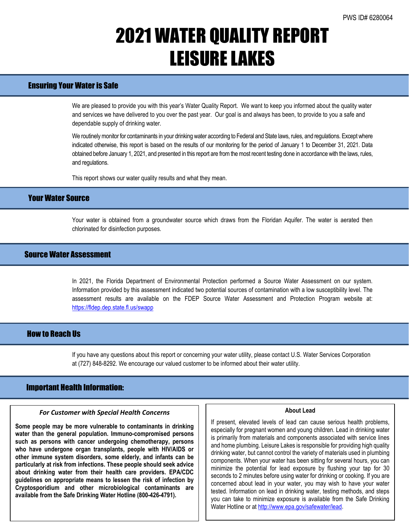## 2021 WATER QUALITY REPORT LEISURE LAKES

## Ensuring Your Water is Safe

We are pleased to provide you with this year's Water Quality Report. We want to keep you informed about the quality water and services we have delivered to you over the past year. Our goal is and always has been, to provide to you a safe and dependable supply of drinking water.

We routinely monitor for contaminants in your drinking water according to Federal and State laws, rules, and regulations. Except where indicated otherwise, this report is based on the results of our monitoring for the period of January 1 to December 31, 2021. Data obtained before January 1, 2021, and presented in this report are from the most recent testing done in accordance with the laws, rules, and regulations.

This report shows our water quality results and what they mean.

## Your Water Source

Your water is obtained from a groundwater source which draws from the Floridan Aquifer. The water is aerated then chlorinated for disinfection purposes.

### Source Water Assessment

In 2021, the Florida Department of Environmental Protection performed a Source Water Assessment on our system. Information provided by this assessment indicated two potential sources of contamination with a low susceptibility level. The assessment results are available on the FDEP Source Water Assessment and Protection Program website at: <https://fldep.dep.state.fl.us/swapp>

## How to Reach Us

If you have any questions about this report or concerning your water utility, please contact U.S. Water Services Corporation at (727) 848-8292. We encourage our valued customer to be informed about their water utility.

### Important Health Information:

l

### *For Customer with Special Health Concerns*

**Some people may be more vulnerable to contaminants in drinking water than the general population. Immuno-compromised persons such as persons with cancer undergoing chemotherapy, persons who have undergone organ transplants, people with HIV/AIDS or other immune system disorders, some elderly, and infants can be particularly at risk from infections. These people should seek advice about drinking water from their health care providers. EPA/CDC guidelines on appropriate means to lessen the risk of infection by Cryptosporidium and other microbiological contaminants are available from the Safe Drinking Water Hotline (800-426-4791).**

#### **About Lead**

If present, elevated levels of lead can cause serious health problems, especially for pregnant women and young children. Lead in drinking water is primarily from materials and components associated with service lines and home plumbing. Leisure Lakes is responsible for providing high quality drinking water, but cannot control the variety of materials used in plumbing components. When your water has been sitting for several hours, you can minimize the potential for lead exposure by flushing your tap for 30 seconds to 2 minutes before using water for drinking or cooking. If you are concerned about lead in your water, you may wish to have your water tested. Information on lead in drinking water, testing methods, and steps you can take to minimize exposure is available from the Safe Drinking Water Hotline or a[t http://www.epa.gov/safewater/lead.](http://www.epa.gov/safewater/lead)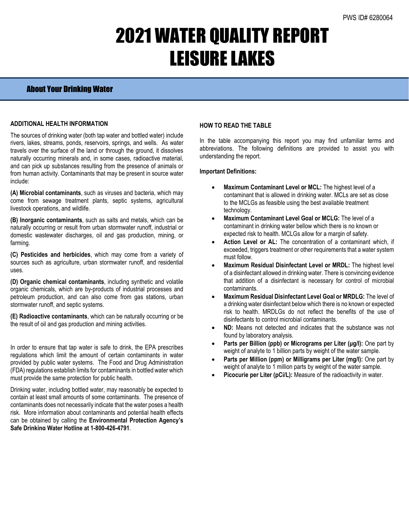# 2021 WATER QUALITY REPORT LEISURE LAKES

### About Your Drinking Water

### **ADDITIONAL HEALTH INFORMATION**

The sources of drinking water (both tap water and bottled water) include rivers, lakes, streams, ponds, reservoirs, springs, and wells. As water travels over the surface of the land or through the ground, it dissolves naturally occurring minerals and, in some cases, radioactive material, and can pick up substances resulting from the presence of animals or from human activity. Contaminants that may be present in source water include:

**(A) Microbial contaminants**, such as viruses and bacteria, which may come from sewage treatment plants, septic systems, agricultural livestock operations, and wildlife.

**(B) Inorganic contaminants**, such as salts and metals, which can be naturally occurring or result from urban stormwater runoff, industrial or domestic wastewater discharges, oil and gas production, mining, or farming.

**(C) Pesticides and herbicides**, which may come from a variety of sources such as agriculture, urban stormwater runoff, and residential uses.

**(D) Organic chemical contaminants**, including synthetic and volatile organic chemicals, which are by-products of industrial processes and petroleum production, and can also come from gas stations, urban stormwater runoff, and septic systems.

**(E) Radioactive contaminants**, which can be naturally occurring or be the result of oil and gas production and mining activities.

In order to ensure that tap water is safe to drink, the EPA prescribes regulations which limit the amount of certain contaminants in water provided by public water systems. The Food and Drug Administration (FDA) regulations establish limits for contaminants in bottled water which must provide the same protection for public health.

Drinking water, including bottled water, may reasonably be expected to contain at least small amounts of some contaminants. The presence of contaminants does not necessarily indicate that the water poses a health risk. More information about contaminants and potential health effects can be obtained by calling the **Environmental Protection Agency's Safe Drinking Water Hotline at 1-800-426-4791**.

### **HOW TO READ THE TABLE**

In the table accompanying this report you may find unfamiliar terms and abbreviations. The following definitions are provided to assist you with understanding the report.

### **Important Definitions:**

- **Maximum Contaminant Level or MCL:** The highest level of a contaminant that is allowed in drinking water. MCLs are set as close to the MCLGs as feasible using the best available treatment technology.
- **Maximum Contaminant Level Goal or MCLG:** The level of a contaminant in drinking water bellow which there is no known or expected risk to health. MCLGs allow for a margin of safety.
- Action Level or AL: The concentration of a contaminant which, if exceeded, triggers treatment or other requirements that a water system must follow.
- **Maximum Residual Disinfectant Level or MRDL:** The highest level of a disinfectant allowed in drinking water. There is convincing evidence that addition of a disinfectant is necessary for control of microbial contaminants.
- **Maximum Residual Disinfectant Level Goal or MRDLG:** The level of a drinking water disinfectant below which there is no known or expected risk to health. MRDLGs do not reflect the benefits of the use of disinfectants to control microbial contaminants.
- **ND:** Means not detected and indicates that the substance was not found by laboratory analysis.
- **Parts per Billion (ppb) or Micrograms per Liter (μg/l):** One part by weight of analyte to 1 billion parts by weight of the water sample.
- **Parts per Million (ppm) or Milligrams per Liter (mg/l):** One part by weight of analyte to 1 million parts by weight of the water sample.
- Picocurie per Liter (pCi/L): Measure of the radioactivity in water.